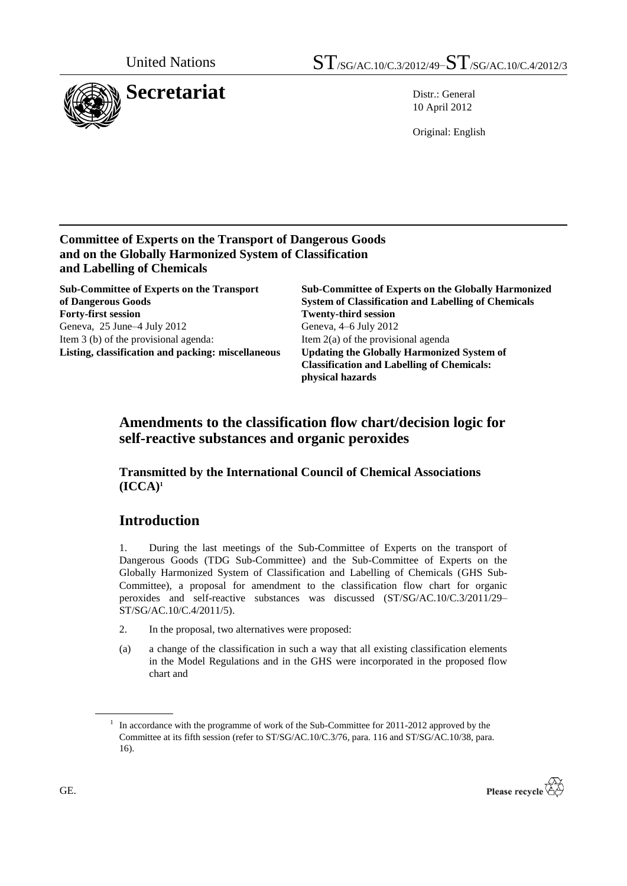

10 April 2012

Original: English

### **Committee of Experts on the Transport of Dangerous Goods and on the Globally Harmonized System of Classification and Labelling of Chemicals**

**Sub-Committee of Experts on the Transport of Dangerous Goods Forty-first session Twenty-third session** Geneva, 25 June–4 July 2012 Item 3 (b) of the provisional agenda: **Listing, classification and packing: miscellaneous**

**Sub-Committee of Experts on the Globally Harmonized System of Classification and Labelling of Chemicals** Geneva, 4–6 July 2012 Item 2(a) of the provisional agenda **Updating the Globally Harmonized System of Classification and Labelling of Chemicals: physical hazards**

## **Amendments to the classification flow chart/decision logic for self-reactive substances and organic peroxides**

### **Transmitted by the International Council of Chemical Associations**   $(ICCA)<sup>1</sup>$

# **Introduction**

1. During the last meetings of the Sub-Committee of Experts on the transport of Dangerous Goods (TDG Sub-Committee) and the Sub-Committee of Experts on the Globally Harmonized System of Classification and Labelling of Chemicals (GHS Sub-Committee), a proposal for amendment to the classification flow chart for organic peroxides and self-reactive substances was discussed (ST/SG/AC.10/C.3/2011/29– ST/SG/AC.10/C.4/2011/5).

- 2. In the proposal, two alternatives were proposed:
- (a) a change of the classification in such a way that all existing classification elements in the Model Regulations and in the GHS were incorporated in the proposed flow chart and

<sup>&</sup>lt;sup>1</sup> In accordance with the programme of work of the Sub-Committee for 2011-2012 approved by the Committee at its fifth session (refer to ST/SG/AC.10/C.3/76, para. 116 and ST/SG/AC.10/38, para. 16).

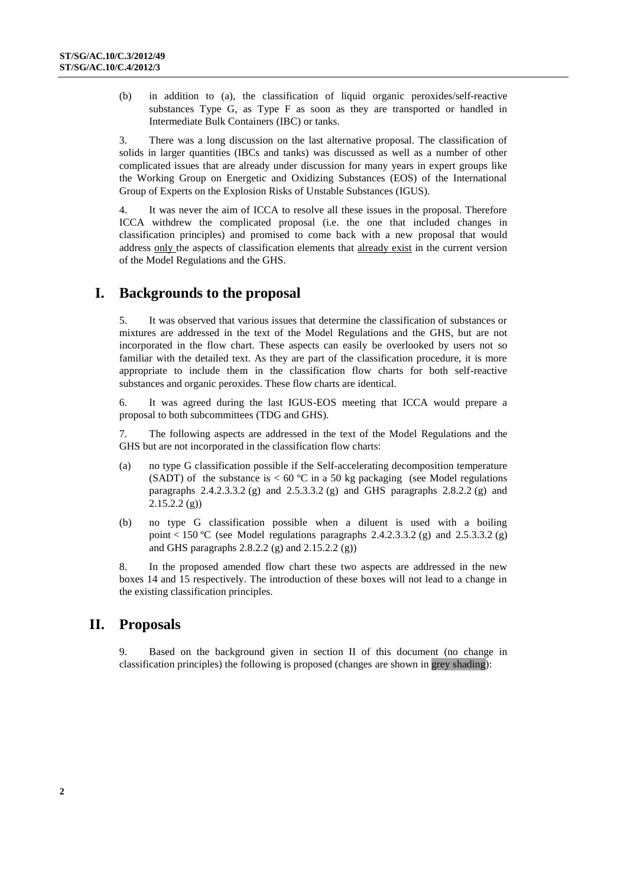(b) in addition to (a), the classification of liquid organic peroxides/self-reactive substances Type G, as Type F as soon as they are transported or handled in Intermediate Bulk Containers (IBC) or tanks.

3. There was a long discussion on the last alternative proposal. The classification of solids in larger quantities (IBCs and tanks) was discussed as well as a number of other complicated issues that are already under discussion for many years in expert groups like the Working Group on Energetic and Oxidizing Substances (EOS) of the International Group of Experts on the Explosion Risks of Unstable Substances (IGUS).

4. It was never the aim of ICCA to resolve all these issues in the proposal. Therefore ICCA withdrew the complicated proposal (i.e. the one that included changes in classification principles) and promised to come back with a new proposal that would address only the aspects of classification elements that already exist in the current version of the Model Regulations and the GHS.

### **I. Backgrounds to the proposal**

5. It was observed that various issues that determine the classification of substances or mixtures are addressed in the text of the Model Regulations and the GHS, but are not incorporated in the flow chart. These aspects can easily be overlooked by users not so familiar with the detailed text. As they are part of the classification procedure, it is more appropriate to include them in the classification flow charts for both self-reactive substances and organic peroxides. These flow charts are identical.

6. It was agreed during the last IGUS-EOS meeting that ICCA would prepare a proposal to both subcommittees (TDG and GHS).

7. The following aspects are addressed in the text of the Model Regulations and the GHS but are not incorporated in the classification flow charts:

- (a) no type G classification possible if the Self-accelerating decomposition temperature (SADT) of the substance is  $< 60 °C$  in a 50 kg packaging (see Model regulations paragraphs 2.4.2.3.3.2 (g) and 2.5.3.3.2 (g) and GHS paragraphs 2.8.2.2 (g) and  $2.15.2.2$  (g))
- (b) no type G classification possible when a diluent is used with a boiling point < 150 °C (see Model regulations paragraphs  $2.4.2.3.3.2$  (g) and  $2.5.3.3.2$  (g) and GHS paragraphs 2.8.2.2 (g) and 2.15.2.2 (g))

8. In the proposed amended flow chart these two aspects are addressed in the new boxes 14 and 15 respectively. The introduction of these boxes will not lead to a change in the existing classification principles.

## **II. Proposals**

9. Based on the background given in section II of this document (no change in classification principles) the following is proposed (changes are shown in grey shading):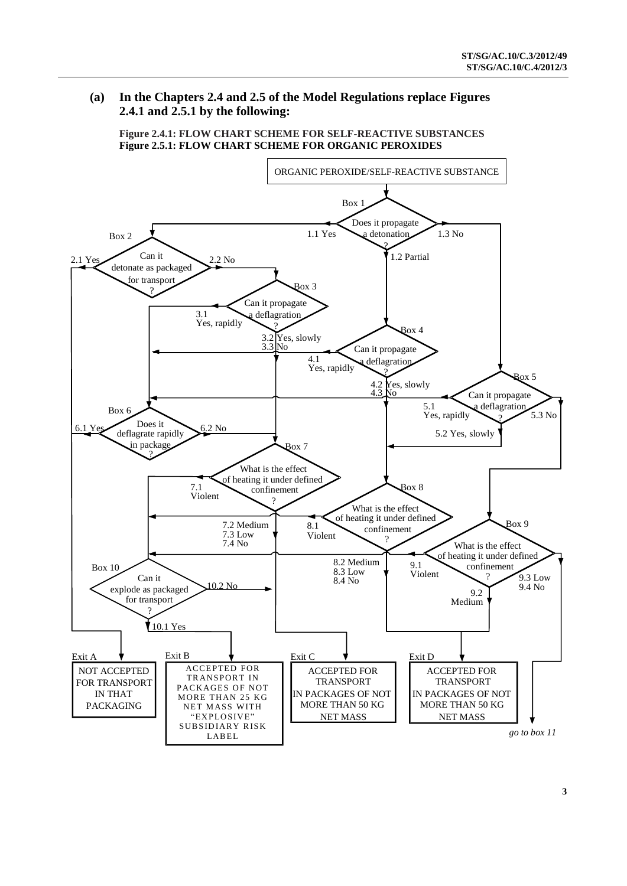### **(a) In the Chapters 2.4 and 2.5 of the Model Regulations replace Figures 2.4.1 and 2.5.1 by the following:**

**Figure 2.4.1: FLOW CHART SCHEME FOR SELF-REACTIVE SUBSTANCES Figure 2.5.1: FLOW CHART SCHEME FOR ORGANIC PEROXIDES**

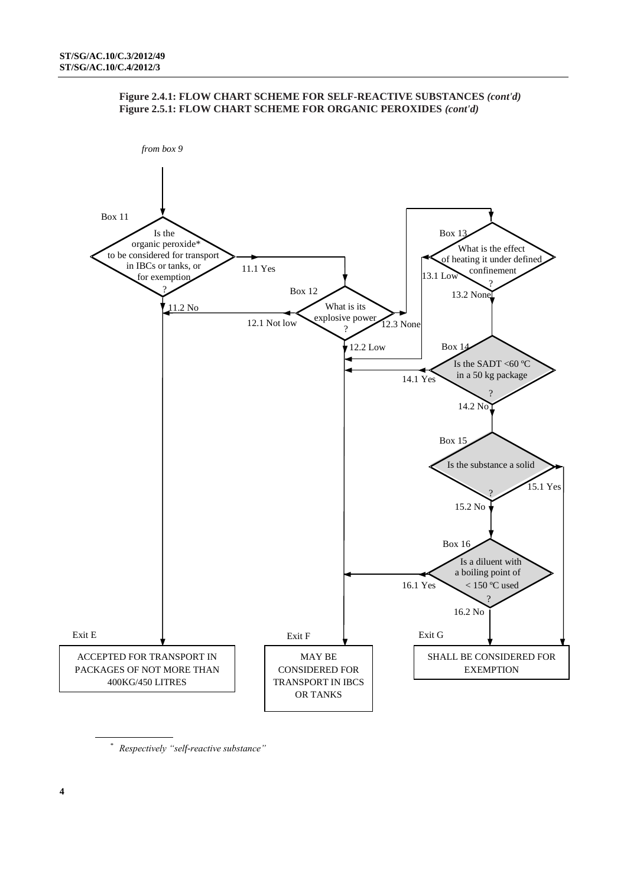



*\* Respectively "self-reactive substance"*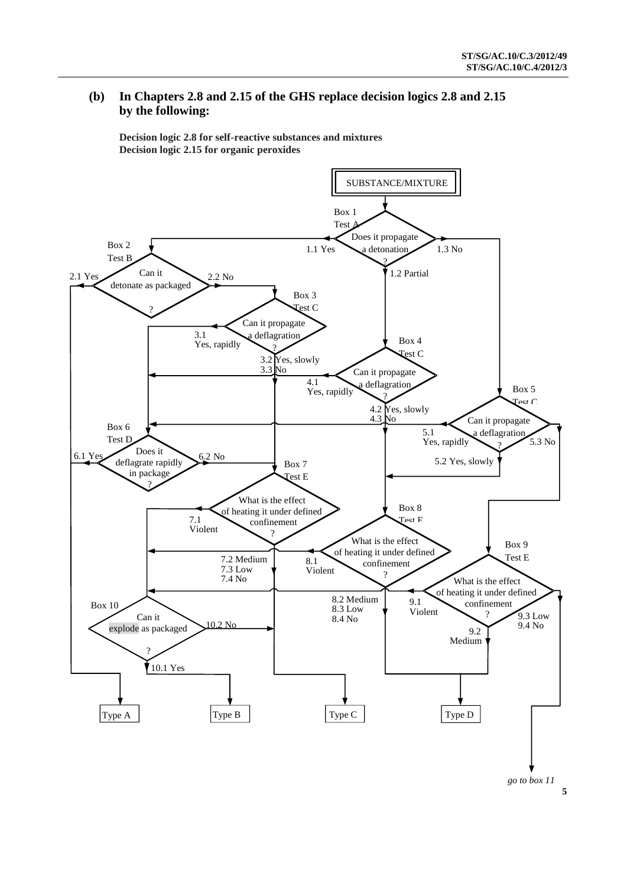#### **(b) In Chapters 2.8 and 2.15 of the GHS replace decision logics 2.8 and 2.15 by the following:**

**Decision logic 2.8 for self-reactive substances and mixtures Decision logic 2.15 for organic peroxides**



**5**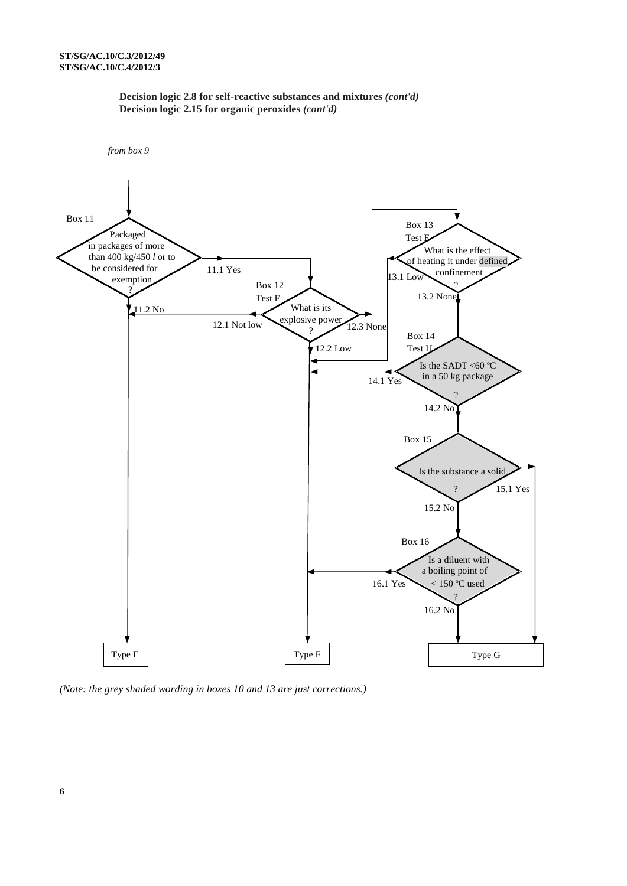



*(Note: the grey shaded wording in boxes 10 and 13 are just corrections.)*